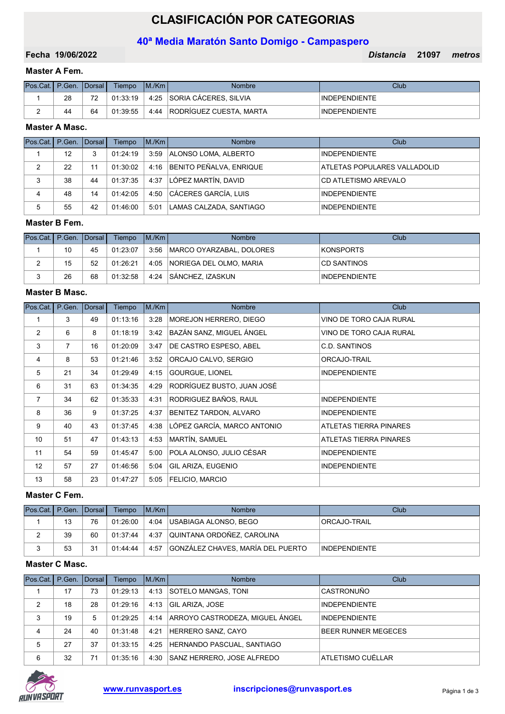# CLASIFICACIÓN POR CATEGORIAS

# 40ª Media Maratón Santo Domigo - Campaspero

19/06/2022 Distancia 21097 Fecha metros

# Master A Fem.

| Pos.Cat.   P.Gen.   Dorsal |    |    | Tiempo   | IM/Km | Nombre                       | Club                 |
|----------------------------|----|----|----------|-------|------------------------------|----------------------|
|                            | 28 | 70 | 01:33:19 | 4:25  | <b>SORIA CÁCERES, SILVIA</b> | <b>INDEPENDIENTE</b> |
|                            | 44 | 64 | 01:39:55 | 4:44  | RODRÍGUEZ CUESTA, MARTA      | <b>INDEPENDIENTE</b> |

# Master A Masc.

| Pos.Cat.   P.Gen.   Dorsal |    |    | Tiempo   | IM/Km | <b>Nombre</b>                | Club                         |
|----------------------------|----|----|----------|-------|------------------------------|------------------------------|
|                            | 12 | 3  | 01:24:19 | 3:59  | ALONSO LOMA, ALBERTO         | INDEPENDIENTE                |
|                            | 22 | 11 | 01:30:02 |       | 4:16 BENITO PEÑALVA, ENRIQUE | ATLETAS POPULARES VALLADOLID |
| 3                          | 38 | 44 | 01:37:35 | 4:37  | LÓPEZ MARTÍN, DAVID          | CD ATLETISMO AREVALO         |
| 4                          | 48 | 14 | 01:42:05 | 4:50  | CÁCERES GARCÍA, LUIS         | <b>INDEPENDIENTE</b>         |
| 5                          | 55 | 42 | 01:46:00 | 5:01  | LAMAS CALZADA, SANTIAGO      | <b>INDEPENDIENTE</b>         |

#### Master B Fem.

| Pos.Cat.   P.Gen.   Dorsal |    |    | Tiempo   | IM/Km | <b>Nombre</b>                   | Club                 |
|----------------------------|----|----|----------|-------|---------------------------------|----------------------|
|                            | 10 | 45 | 01:23:07 |       | 3:56   MARCO OYARZABAL, DOLORES | <b>KONSPORTS</b>     |
|                            | 15 | 52 | 01:26:21 |       | 4:05 NORIEGA DEL OLMO, MARIA    | <b>CD SANTINOS</b>   |
|                            | 26 | 68 | 01:32:58 | 4:24  | SÁNCHEZ. IZASKUN                | <b>INDEPENDIENTE</b> |

#### Master B Masc.

| Pos.Cat.       | P.Gen.         | Dorsal | Tiempo   | M/Km | <b>Nombre</b>               | Club                    |
|----------------|----------------|--------|----------|------|-----------------------------|-------------------------|
| 1              | 3              | 49     | 01:13:16 | 3:28 | MOREJON HERRERO, DIEGO      | VINO DE TORO CAJA RURAL |
| 2              | 6              | 8      | 01:18:19 | 3:42 | BAZÁN SANZ, MIGUEL ÁNGEL    | VINO DE TORO CAJA RURAL |
| 3              | $\overline{7}$ | 16     | 01:20:09 | 3:47 | DE CASTRO ESPESO, ABEL      | C.D. SANTINOS           |
| 4              | 8              | 53     | 01:21:46 | 3:52 | ORCAJO CALVO, SERGIO        | ORCAJO-TRAIL            |
| 5              | 21             | 34     | 01:29:49 | 4:15 | GOURGUE, LIONEL             | <b>INDEPENDIENTE</b>    |
| 6              | 31             | 63     | 01:34:35 | 4:29 | RODRÍGUEZ BUSTO, JUAN JOSÉ  |                         |
| $\overline{7}$ | 34             | 62     | 01:35:33 | 4:31 | RODRIGUEZ BAÑOS, RAUL       | <b>INDEPENDIENTE</b>    |
| 8              | 36             | 9      | 01:37:25 | 4:37 | BENITEZ TARDON, ALVARO      | <b>INDEPENDIENTE</b>    |
| 9              | 40             | 43     | 01:37:45 | 4:38 | LÓPEZ GARCÍA, MARCO ANTONIO | ATLETAS TIERRA PINARES  |
| 10             | 51             | 47     | 01:43:13 | 4:53 | MARTÍN, SAMUEL              | ATLETAS TIERRA PINARES  |
| 11             | 54             | 59     | 01:45:47 | 5:00 | POLA ALONSO, JULIO CÉSAR    | <b>INDEPENDIENTE</b>    |
| 12             | 57             | 27     | 01:46:56 | 5:04 | <b>GIL ARIZA, EUGENIO</b>   | <b>INDEPENDIENTE</b>    |
| 13             | 58             | 23     | 01:47:27 | 5:05 | <b>FELICIO, MARCIO</b>      |                         |

### Master C Fem.

| Pos.Cat.   P.Gen.   Dorsal |    |    | Tiempo   | IM/Km | <b>Nombre</b>                          | Club                 |
|----------------------------|----|----|----------|-------|----------------------------------------|----------------------|
|                            | 13 | 76 | 01:26:00 |       | 4:04   USABIAGA ALONSO, BEGO           | <b>ORCAJO-TRAIL</b>  |
| ∠                          | 39 | 60 | 01:37:44 |       | 4:37 QUINTANA ORDOÑEZ, CAROLINA        |                      |
|                            | 53 | 31 | 01:44:44 |       | 4:57 GONZÁLEZ CHAVES, MARÍA DEL PUERTO | <b>INDEPENDIENTE</b> |

### Master C Masc.

| Pos.Cat.   P.Gen.   Dorsal |    |    | Tiempo   | IM/Km | <b>Nombre</b>                        | Club                       |
|----------------------------|----|----|----------|-------|--------------------------------------|----------------------------|
|                            | 17 | 73 | 01:29:13 |       | 4:13 SOTELO MANGAS, TONI             | <b>CASTRONUÑO</b>          |
| 2                          | 18 | 28 | 01:29:16 | 4:13  | <b>GIL ARIZA, JOSE</b>               | <b>INDEPENDIENTE</b>       |
| 3                          | 19 | 5  | 01:29:25 |       | 4:14 ARROYO CASTRODEZA. MIGUEL ÁNGEL | <b>INDEPENDIENTE</b>       |
| 4                          | 24 | 40 | 01:31:48 | 4:21  | HERRERO SANZ, CAYO                   | <b>BEER RUNNER MEGECES</b> |
| 5                          | 27 | 37 | 01:33:15 | 4:25  | HERNANDO PASCUAL, SANTIAGO           |                            |
| 6                          | 32 | 71 | 01:35:16 | 4:30  | SANZ HERRERO. JOSE ALFREDO           | ATLETISMO CUÉLLAR          |

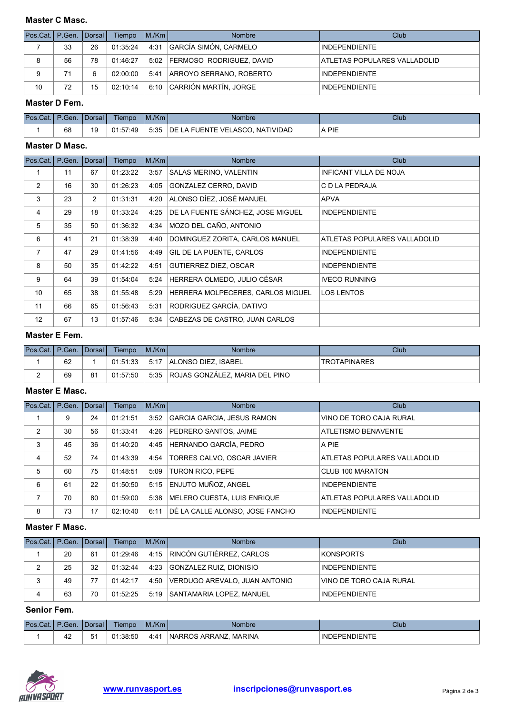#### Master C Masc.

| Pos.Cat.   P.Gen.   Dorsal |    |    | Tiempo   | IM/Km | <b>Nombre</b>                 | Club                         |
|----------------------------|----|----|----------|-------|-------------------------------|------------------------------|
|                            | 33 | 26 | 01:35:24 | 4:31  | GARCÍA SIMÓN, CARMELO         | <b>INDEPENDIENTE</b>         |
| 8                          | 56 | 78 | 01:46:27 |       | 5:02 FERMOSO RODRIGUEZ, DAVID | ATLETAS POPULARES VALLADOLID |
| 9                          |    | 6  | 02:00:00 |       | 5:41 ARROYO SERRANO, ROBERTO  | <b>INDEPENDIENTE</b>         |
| 10                         | 72 | 15 | 02:10:14 |       | 6:10 CARRIÓN MARTÍN, JORGE    | <b>INDEPENDIENTE</b>         |

#### Master D Fem.

| Pos.Cat.   P.Gen.   Dorsal |    | Tiempo   | M/Km | Nombre                                 | Club  |
|----------------------------|----|----------|------|----------------------------------------|-------|
|                            | 68 | 01:57:49 | 5:35 | <b>DE LA FUENTE VELASCO. NATIVIDAD</b> | A PIE |

# Master D Masc.

| Pos.Cat. | P.Gen. | Dorsal         | Tiempo   | M/Km | <b>Nombre</b>                     | Club                          |
|----------|--------|----------------|----------|------|-----------------------------------|-------------------------------|
|          | 11     | 67             | 01:23:22 | 3:57 | SALAS MERINO, VALENTIN            | <b>INFICANT VILLA DE NOJA</b> |
| 2        | 16     | 30             | 01:26:23 | 4:05 | GONZALEZ CERRO, DAVID             | C D LA PEDRAJA                |
| 3        | 23     | $\overline{2}$ | 01:31:31 | 4:20 | ALONSO DÍEZ, JOSÉ MANUEL          | <b>APVA</b>                   |
| 4        | 29     | 18             | 01:33:24 | 4:25 | DE LA FUENTE SÁNCHEZ, JOSE MIGUEL | <b>INDEPENDIENTE</b>          |
| 5        | 35     | 50             | 01:36:32 | 4:34 | MOZO DEL CAÑO, ANTONIO            |                               |
| 6        | 41     | 21             | 01:38:39 | 4:40 | DOMINGUEZ ZORITA, CARLOS MANUEL   | ATLETAS POPULARES VALLADOLID  |
| 7        | 47     | 29             | 01:41:56 | 4:49 | <b>GIL DE LA PUENTE, CARLOS</b>   | <b>INDEPENDIENTE</b>          |
| 8        | 50     | 35             | 01:42:22 | 4:51 | <b>GUTIERREZ DIEZ, OSCAR</b>      | <b>INDEPENDIENTE</b>          |
| 9        | 64     | 39             | 01:54:04 | 5:24 | HERRERA OLMEDO, JULIO CÉSAR       | <b>IVECO RUNNING</b>          |
| 10       | 65     | 38             | 01:55:48 | 5:29 | HERRERA MOLPECERES, CARLOS MIGUEL | <b>LOS LENTOS</b>             |
| 11       | 66     | 65             | 01:56:43 | 5:31 | RODRIGUEZ GARCÍA, DATIVO          |                               |
| 12       | 67     | 13             | 01:57:46 | 5:34 | CABEZAS DE CASTRO, JUAN CARLOS    |                               |

# Master E Fem.

| Pos.Cat.   P.Gen.   Dorsal |    |    | Tiempo   | IM/Km | Nombre                              | Club                |
|----------------------------|----|----|----------|-------|-------------------------------------|---------------------|
|                            | 62 |    | 01:51:33 |       | 5:17 ALONSO DIEZ. ISABEL            | <b>TROTAPINARES</b> |
| -                          | 69 | 81 | 01:57:50 |       | 5:35 ROJAS GONZÁLEZ. MARIA DEL PINO |                     |

# Master E Masc.

| Pos.Cat.      | P.Gen. Dorsal |    | Tiempo   | M/Km | <b>Nombre</b>                   | Club                         |
|---------------|---------------|----|----------|------|---------------------------------|------------------------------|
|               | 9             | 24 | 01:21:51 | 3:52 | GARCIA GARCIA, JESUS RAMON      | VINO DE TORO CAJA RURAL      |
| $\mathcal{P}$ | 30            | 56 | 01:33:41 | 4:26 | <b>PEDRERO SANTOS, JAIME</b>    | ATLETISMO BENAVENTE          |
| 3             | 45            | 36 | 01:40:20 | 4:45 | HERNANDO GARCÍA, PEDRO          | A PIE                        |
| 4             | 52            | 74 | 01:43:39 | 4:54 | TORRES CALVO, OSCAR JAVIER      | ATLETAS POPULARES VALLADOLID |
| 5             | 60            | 75 | 01:48:51 | 5:09 | TURON RICO, PEPE                | CLUB 100 MARATON             |
| 6             | 61            | 22 | 01:50:50 | 5:15 | <b>ENJUTO MUÑOZ, ANGEL</b>      | <b>INDEPENDIENTE</b>         |
| 7             | 70            | 80 | 01:59:00 | 5:38 | MELERO CUESTA, LUIS ENRIQUE     | ATLETAS POPULARES VALLADOLID |
| 8             | 73            | 17 | 02:10:40 | 6:11 | DÉ LA CALLE ALONSO, JOSE FANCHO | <b>INDEPENDIENTE</b>         |

# Master F Masc.

| <b>Pos.Cat.I P.Gen. IDorsal I</b> |    |    | Tiempo   | IM/Km | <b>Nombre</b>                   | Club                    |
|-----------------------------------|----|----|----------|-------|---------------------------------|-------------------------|
|                                   | 20 | 61 | 01:29:46 |       | 4:15 RINCÓN GUTIÉRREZ, CARLOS   | KONSPORTS               |
|                                   | 25 | 32 | 01:32:44 | 4:23  | GONZALEZ RUIZ, DIONISIO         | <b>INDEPENDIENTE</b>    |
| 3                                 | 49 | 77 | 01:42:17 | 4:50  | VERDUGO AREVALO, JUAN ANTONIO   | VINO DE TORO CAJA RURAL |
| 4                                 | 63 | 70 | 01:52:25 | 5:19  | <b>SANTAMARIA LOPEZ. MANUEL</b> | <b>INDEPENDIENTE</b>    |

# Senior Fem.

| Pos.<br>$\cap$ at. I P $\sim$ | $\bigcap$ Gen. | <b>IDorsal</b> | Tiempo       | M/Km | mbre                             | Club                             |
|-------------------------------|----------------|----------------|--------------|------|----------------------------------|----------------------------------|
|                               | ╌              | ь.<br>ີ        | :38:50<br>01 | 4:41 | <b>MARINA</b><br>INARROS ARRANZ. | <b>DEPENDIENTE</b><br><b>IND</b> |